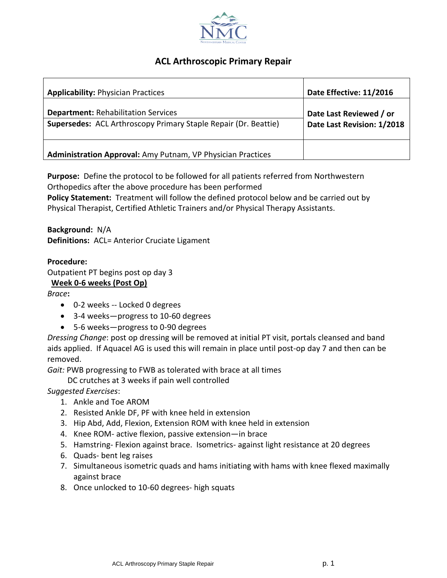

# **ACL Arthroscopic Primary Repair**

| <b>Applicability: Physician Practices</b>                                                                     | Date Effective: 11/2016                               |
|---------------------------------------------------------------------------------------------------------------|-------------------------------------------------------|
| <b>Department: Rehabilitation Services</b><br>Supersedes: ACL Arthroscopy Primary Staple Repair (Dr. Beattie) | Date Last Reviewed / or<br>Date Last Revision: 1/2018 |
| Administration Approval: Amy Putnam, VP Physician Practices                                                   |                                                       |

**Purpose:** Define the protocol to be followed for all patients referred from Northwestern Orthopedics after the above procedure has been performed **Policy Statement:** Treatment will follow the defined protocol below and be carried out by

Physical Therapist, Certified Athletic Trainers and/or Physical Therapy Assistants.

**Background:** N/A **Definitions:** ACL= Anterior Cruciate Ligament

### **Procedure:**

Outpatient PT begins post op day 3

### **Week 0-6 weeks (Post Op)**

*Brace***:**

- 0-2 weeks -- Locked 0 degrees
- 3-4 weeks—progress to 10-60 degrees
- 5-6 weeks—progress to 0-90 degrees

*Dressing Change*: post op dressing will be removed at initial PT visit, portals cleansed and band aids applied. If Aquacel AG is used this will remain in place until post-op day 7 and then can be removed.

*Gait:* PWB progressing to FWB as tolerated with brace at all times

DC crutches at 3 weeks if pain well controlled

*Suggested Exercises*:

- 1. Ankle and Toe AROM
- 2. Resisted Ankle DF, PF with knee held in extension
- 3. Hip Abd, Add, Flexion, Extension ROM with knee held in extension
- 4. Knee ROM- active flexion, passive extension—in brace
- 5. Hamstring- Flexion against brace. Isometrics- against light resistance at 20 degrees
- 6. Quads- bent leg raises
- 7. Simultaneous isometric quads and hams initiating with hams with knee flexed maximally against brace
- 8. Once unlocked to 10-60 degrees- high squats